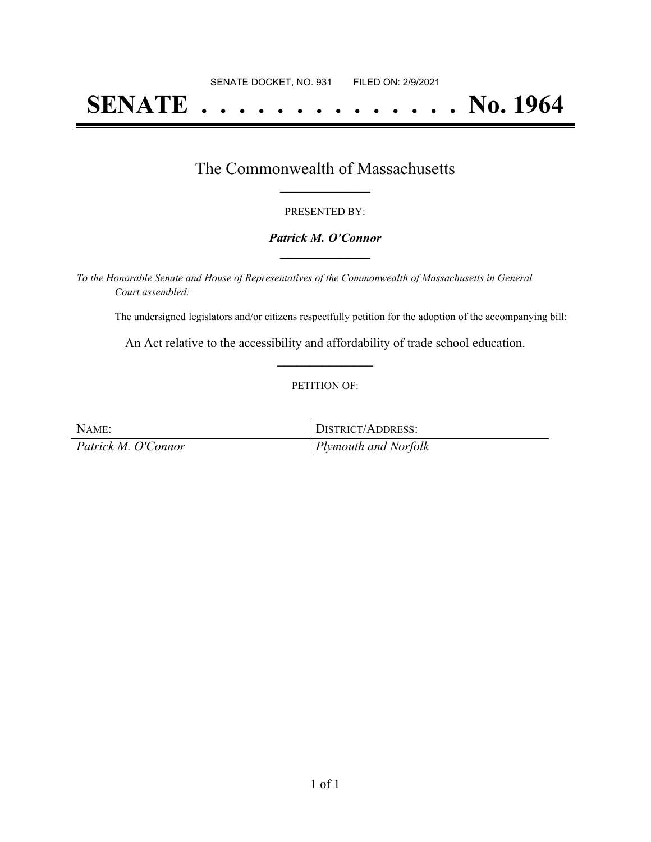# **SENATE . . . . . . . . . . . . . . No. 1964**

### The Commonwealth of Massachusetts **\_\_\_\_\_\_\_\_\_\_\_\_\_\_\_\_\_**

#### PRESENTED BY:

#### *Patrick M. O'Connor* **\_\_\_\_\_\_\_\_\_\_\_\_\_\_\_\_\_**

*To the Honorable Senate and House of Representatives of the Commonwealth of Massachusetts in General Court assembled:*

The undersigned legislators and/or citizens respectfully petition for the adoption of the accompanying bill:

An Act relative to the accessibility and affordability of trade school education. **\_\_\_\_\_\_\_\_\_\_\_\_\_\_\_**

#### PETITION OF:

| NAME:               | DISTRICT/ADDRESS:            |
|---------------------|------------------------------|
| Patrick M. O'Connor | $\vert$ Plymouth and Norfolk |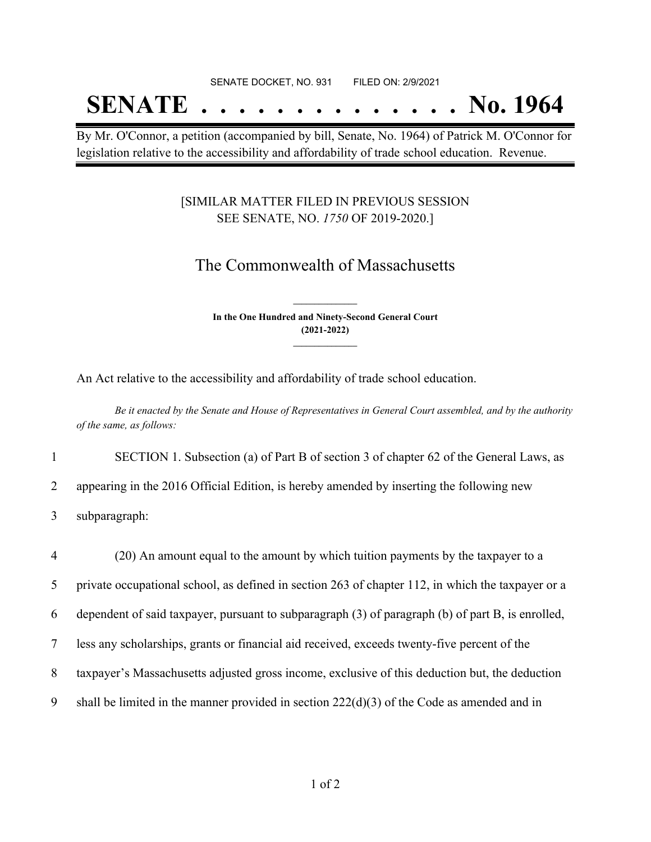#### SENATE DOCKET, NO. 931 FILED ON: 2/9/2021

## **SENATE . . . . . . . . . . . . . . No. 1964**

By Mr. O'Connor, a petition (accompanied by bill, Senate, No. 1964) of Patrick M. O'Connor for legislation relative to the accessibility and affordability of trade school education. Revenue.

#### [SIMILAR MATTER FILED IN PREVIOUS SESSION SEE SENATE, NO. *1750* OF 2019-2020.]

## The Commonwealth of Massachusetts

**In the One Hundred and Ninety-Second General Court (2021-2022) \_\_\_\_\_\_\_\_\_\_\_\_\_\_\_**

**\_\_\_\_\_\_\_\_\_\_\_\_\_\_\_**

An Act relative to the accessibility and affordability of trade school education.

Be it enacted by the Senate and House of Representatives in General Court assembled, and by the authority *of the same, as follows:*

1 SECTION 1. Subsection (a) of Part B of section 3 of chapter 62 of the General Laws, as

2 appearing in the 2016 Official Edition, is hereby amended by inserting the following new

3 subparagraph:

 (20) An amount equal to the amount by which tuition payments by the taxpayer to a private occupational school, as defined in section 263 of chapter 112, in which the taxpayer or a dependent of said taxpayer, pursuant to subparagraph (3) of paragraph (b) of part B, is enrolled, less any scholarships, grants or financial aid received, exceeds twenty-five percent of the taxpayer's Massachusetts adjusted gross income, exclusive of this deduction but, the deduction 9 shall be limited in the manner provided in section  $222(d)(3)$  of the Code as amended and in